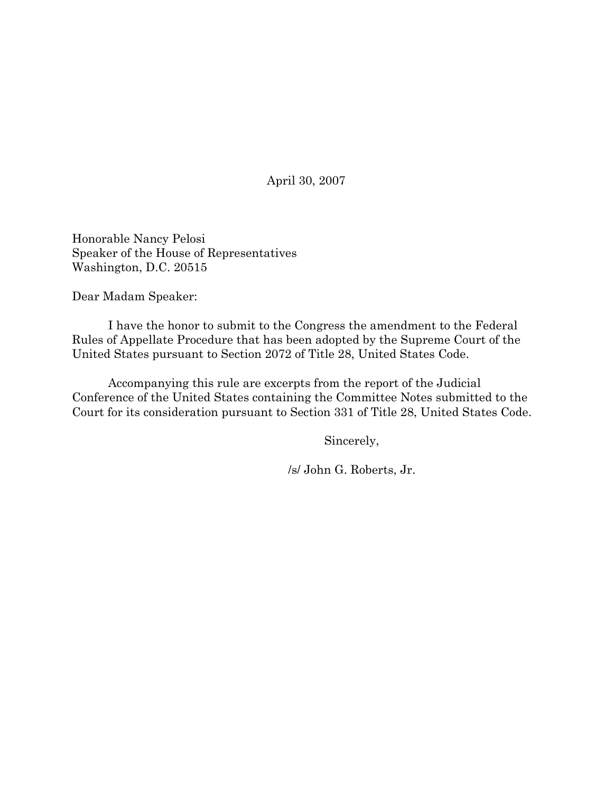April 30, 2007

Honorable Nancy Pelosi Speaker of the House of Representatives Washington, D.C. 20515

Dear Madam Speaker:

I have the honor to submit to the Congress the amendment to the Federal Rules of Appellate Procedure that has been adopted by the Supreme Court of the United States pursuant to Section 2072 of Title 28, United States Code.

Accompanying this rule are excerpts from the report of the Judicial Conference of the United States containing the Committee Notes submitted to the Court for its consideration pursuant to Section 331 of Title 28, United States Code.

Sincerely,

/s/ John G. Roberts, Jr.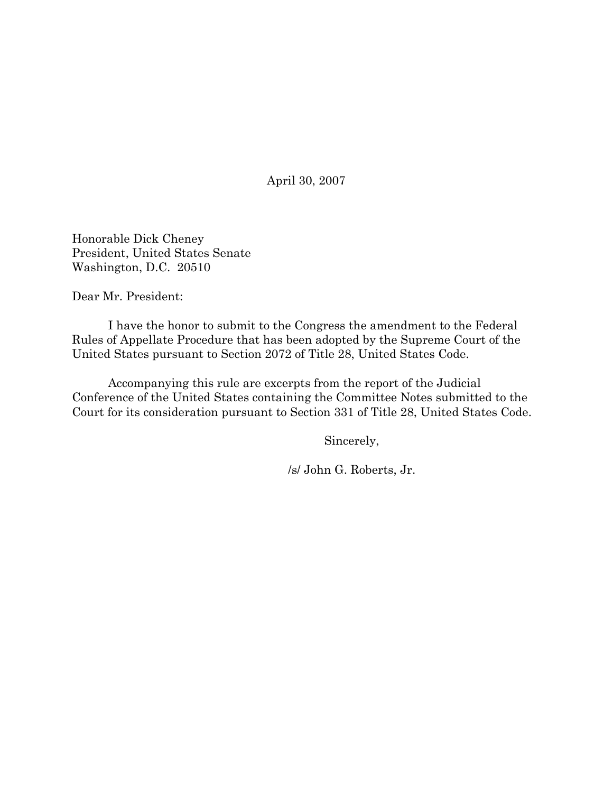April 30, 2007

Honorable Dick Cheney President, United States Senate Washington, D.C. 20510

Dear Mr. President:

I have the honor to submit to the Congress the amendment to the Federal Rules of Appellate Procedure that has been adopted by the Supreme Court of the United States pursuant to Section 2072 of Title 28, United States Code.

Accompanying this rule are excerpts from the report of the Judicial Conference of the United States containing the Committee Notes submitted to the Court for its consideration pursuant to Section 331 of Title 28, United States Code.

Sincerely,

/s/ John G. Roberts, Jr.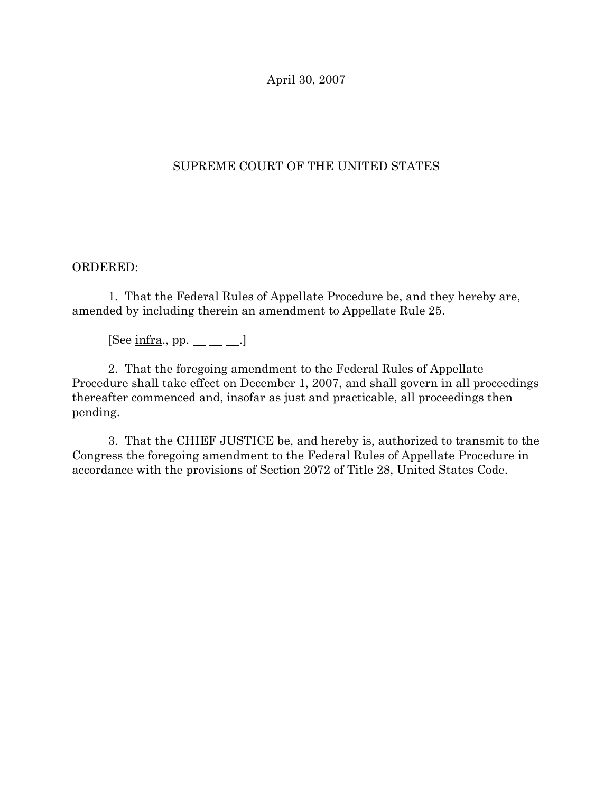April 30, 2007

## SUPREME COURT OF THE UNITED STATES

## ORDERED:

1. That the Federal Rules of Appellate Procedure be, and they hereby are, amended by including therein an amendment to Appellate Rule 25.

[See infra., pp.  $\_\_\_\_\_\_\_\$ .]

2. That the foregoing amendment to the Federal Rules of Appellate Procedure shall take effect on December 1, 2007, and shall govern in all proceedings thereafter commenced and, insofar as just and practicable, all proceedings then pending.

3. That the CHIEF JUSTICE be, and hereby is, authorized to transmit to the Congress the foregoing amendment to the Federal Rules of Appellate Procedure in accordance with the provisions of Section 2072 of Title 28, United States Code.